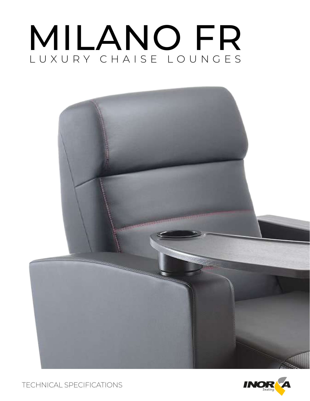# MILANO FR LUXURY CHAISE LOUNGES





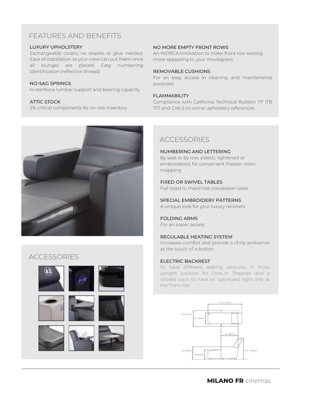# FEATURES AND BENEFITS

#### LUXURY UPHOLSTERY

Exchangeable covers, no staples or glue needed. Ease of installation as your crew can put them once all lounges are placed. Easy numbering identification (reflective thread)

#### NO-SAG SPRINGS

to reinforce lumbar support and bearing capacity.

#### ATTIC STOCK

2% critical components for on-site inventory



#### NO MORE EMPTY FRONT ROWS

An INORCA innovation to make front row seating more appealing to your moviegoers

#### REMOVABLE CUSHIONS

For an easy access in cleaning and maintenance purposes

#### FLAMMABILITY

Compliance with California Technical Bulletin 117 (TB 117) and Crib 5 on some upholstery references

# **ACCESSORIES**

NUMBERING AND LETTERING By seat or by row, plastic, lightened or embroidered, for convenient theater room mapping

## FIXED OR SWIVEL TABLES

Full sized to maximize concession sales

SPECIAL EMBROIDERY PATTERNS

A unique look for your luxury recliners

#### FOLDING ARMS For an easier access

## REGULABLE HEATING SYSTEM

Increases comfort and provide a chilly ambience at the touch of a button

#### ELECTRIC BACKREST

To have different seating postures. A more upright position for Dine-in Theatres and a relaxed back to have an optimized sight line at the front row



# **ACCESSORIES**

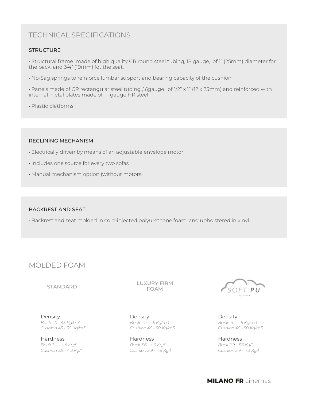# TECHNICAL SPECIFICATIONS

## **STRUCTURE**

• Structural frame made of high quality CR round steel tubing, 18 gauge, of 1" (25mm) diameter for the back, and 3/4" (19mm) fot the seat.

• No-Sag springs to reinforce lumbar support and bearing capacity of the cushion.

• Panels made of CR rectangular steel tubing ,16gauge , of 1/2" x 1" (12 x 25mm) and reinforced with internal metal plates made of 11 gauge HR steel

• Plastic platforms

#### RECLINING MECHANISM

- Electrically driven by means of an adjustable envelope motor.
- Includes one source for every two sofas.
- Manual mechanism option (without motors)

## BACKREST AND SEAT

• Backrest and seat molded in cold-injected polyurethane foam, and upholstered in vinyl.

# MOLDED FOAM

#### STANDARD

LUXURY FIRM FOAM

Density *Back 40 - 45 Kg/m3 Cushion 45 - 50 Kg/m3*

**Hardness** *Back 3.4 - 4.4 Kg/f Cushion 3.9 - 4.3 Kg/f*

Density *Back 40 - 45 Kg/m3 Cushion 45 - 50 Kg/m3*

Hardness *Back 3.6 - 4.6 Kg/f Cushion 3.9 - 4.9 Kg/f*



Density *Back 40 - 45 Kg/m3 Cushion 45 - 50 Kg/m3*

Hardness *Back 2.9 - 3.6 Kg/f Cushion 3.9 - 4.3 Kg/f*